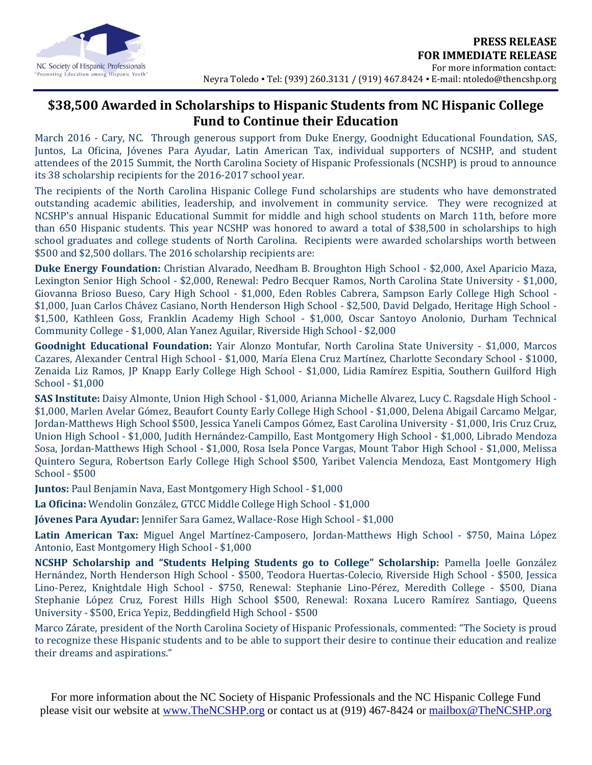

## **\$38,500 Awarded in Scholarships to Hispanic Students from NC Hispanic College Fund to Continue their Education**

March 2016 - Cary, NC. Through generous support from Duke Energy, Goodnight Educational Foundation, SAS, Juntos, La Oficina, Jóvenes Para Ayudar, Latin American Tax, individual supporters of NCSHP, and student attendees of the 2015 Summit, the North Carolina Society of Hispanic Professionals (NCSHP) is proud to announce its 38 scholarship recipients for the 2016-2017 school year.

The recipients of the North Carolina Hispanic College Fund scholarships are students who have demonstrated outstanding academic abilities, leadership, and involvement in community service. They were recognized at NCSHP's annual Hispanic Educational Summit for middle and high school students on March 11th, before more than 650 Hispanic students. This year NCSHP was honored to award a total of \$38,500 in scholarships to high school graduates and college students of North Carolina. Recipients were awarded scholarships worth between \$500 and \$2,500 dollars. The 2016 scholarship recipients are:

**Duke Energy Foundation:** Christian Alvarado, Needham B. Broughton High School - \$2,000, Axel Aparicio Maza, Lexington Senior High School - \$2,000, Renewal: Pedro Becquer Ramos, North Carolina State University - \$1,000, Giovanna Brioso Bueso, Cary High School - \$1,000, Eden Robles Cabrera, Sampson Early College High School - \$1,000, Juan Carlos Chávez Casiano, North Henderson High School - \$2,500, David Delgado, Heritage High School - \$1,500, Kathleen Goss, Franklin Academy High School - \$1,000, Oscar Santoyo Anolonio, Durham Technical Community College - \$1,000, Alan Yanez Aguilar, Riverside High School - \$2,000

**Goodnight Educational Foundation:** Yair Alonzo Montufar, North Carolina State University - \$1,000, Marcos Cazares, Alexander Central High School - \$1,000, María Elena Cruz Martínez, Charlotte Secondary School - \$1000, Zenaida Liz Ramos, JP Knapp Early College High School - \$1,000, Lidia Ramírez Espitia, Southern Guilford High School - \$1,000

**SAS Institute:** Daisy Almonte, Union High School - \$1,000, Arianna Michelle Alvarez, Lucy C. Ragsdale High School - \$1,000, Marlen Avelar Gómez, Beaufort County Early College High School - \$1,000, Delena Abigail Carcamo Melgar, Jordan-Matthews High School \$500, Jessica Yaneli Campos Gómez, East Carolina University - \$1,000, Iris Cruz Cruz, Union High School - \$1,000, Judith Hernández-Campillo, East Montgomery High School - \$1,000, Librado Mendoza Sosa, Jordan-Matthews High School - \$1,000, Rosa Isela Ponce Vargas, Mount Tabor High School - \$1,000, Melissa Quintero Segura, Robertson Early College High School \$500, Yaribet Valencia Mendoza, East Montgomery High School - \$500

**Juntos:** Paul Benjamin Nava, East Montgomery High School - \$1,000

**La Oficina:** Wendolin González, GTCC Middle College High School - \$1,000

**Jóvenes Para Ayudar:** Jennifer Sara Gamez, Wallace-Rose High School - \$1,000

**Latin American Tax:** Miguel Angel Martínez-Camposero, Jordan-Matthews High School - \$750, Maina López Antonio, East Montgomery High School - \$1,000

**NCSHP Scholarship and "Students Helping Students go to College" Scholarship:** Pamella Joelle González Hernández, North Henderson High School - \$500, Teodora Huertas-Colecio, Riverside High School - \$500, Jessica Lino-Perez, Knightdale High School - \$750, Renewal: Stephanie Lino-Pérez, Meredith College - \$500, Diana Stephanie López Cruz, Forest Hills High School \$500, Renewal: Roxana Lucero Ramírez Santiago, Queens University - \$500, Erica Yepiz, Beddingfield High School - \$500

Marco Zárate, president of the North Carolina Society of Hispanic Professionals, commented: "The Society is proud to recognize these Hispanic students and to be able to support their desire to continue their education and realize their dreams and aspirations."

For more information about the NC Society of Hispanic Professionals and the NC Hispanic College Fund please visit our website at [www.TheNCSHP.org](http://www.thencshp.org/) or contact us at (919) 467-8424 or [mailbox@TheNCSHP.org](mailto:mailbox@TheNCSHP.org)